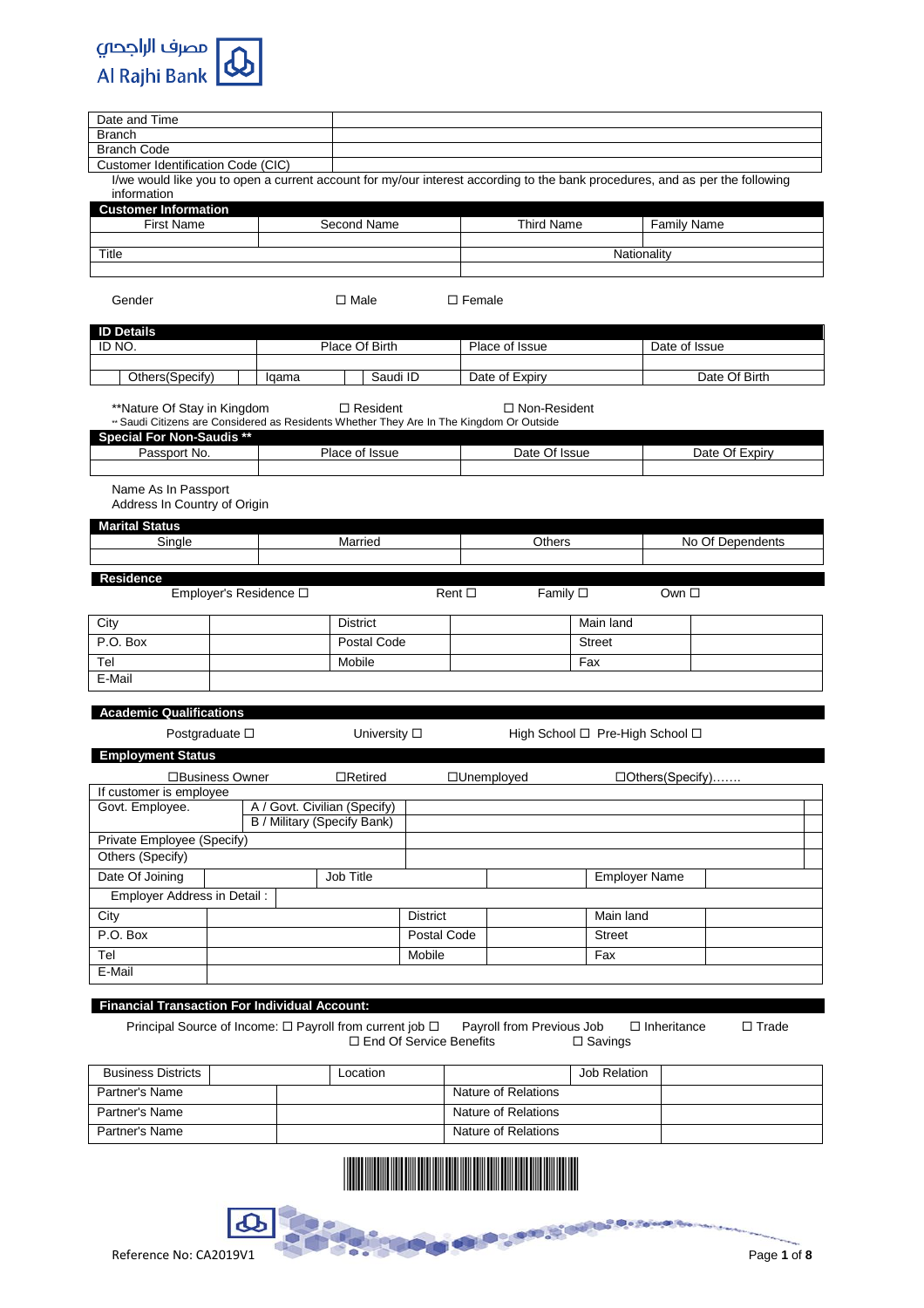

| <b>Branch</b><br><b>Branch Code</b><br>Customer Identification Code (CIC)<br>I/we would like you to open a current account for my/our interest according to the bank procedures, and as per the following<br>information<br><b>Customer Information</b><br><b>First Name</b><br><b>Second Name</b><br><b>Third Name</b><br><b>Family Name</b><br>Title<br>Nationality<br>Gender<br>$\Box$ Male<br>$\square$ Female<br><b>ID Details</b><br>ID NO.<br>Place Of Birth<br>Place of Issue<br>Date of Issue<br>Others(Specify)<br>Saudi ID<br>Date of Expiry<br>Date Of Birth<br>Iqama<br>**Nature Of Stay in Kingdom<br>$\Box$ Resident<br>$\Box$ Non-Resident<br>** Saudi Citizens are Considered as Residents Whether They Are In The Kingdom Or Outside<br><b>Special For Non-Saudis **</b><br>Passport No.<br>Place of Issue<br>Date Of Issue<br>Date Of Expiry<br>Name As In Passport<br>Address In Country of Origin<br><b>Marital Status</b><br>Single<br>Married<br>Others<br>No Of Dependents<br><b>Residence</b><br>Employer's Residence O<br>Family $\square$<br>$Rent$ $\square$<br>Own $\Box$<br>City<br><b>District</b><br>Main land<br>P.O. Box<br>Postal Code<br><b>Street</b><br>Tel<br>Mobile<br>Fax<br>E-Mail<br><b>Academic Qualifications</b><br>Postgraduate $\square$<br>University □<br>High School □ Pre-High School □<br><b>Employment Status</b><br>□Business Owner<br>$\Box$ Retired<br>□Unemployed<br>$\Box$ Others (Specify)<br>If customer is employee<br>A / Govt. Civilian (Specify)<br>Govt. Employee.<br><b>B</b> / Military (Specify Bank)<br>Private Employee (Specify)<br>Others (Specify)<br>Date Of Joining<br>Job Title<br><b>Employer Name</b><br>Employer Address in Detail:<br>Main land<br>City<br><b>District</b><br>P.O. Box<br>Postal Code<br><b>Street</b><br>Tel<br>Mobile<br>Fax<br>E-Mail | Date and Time |  |  |  |  |  |  |
|-------------------------------------------------------------------------------------------------------------------------------------------------------------------------------------------------------------------------------------------------------------------------------------------------------------------------------------------------------------------------------------------------------------------------------------------------------------------------------------------------------------------------------------------------------------------------------------------------------------------------------------------------------------------------------------------------------------------------------------------------------------------------------------------------------------------------------------------------------------------------------------------------------------------------------------------------------------------------------------------------------------------------------------------------------------------------------------------------------------------------------------------------------------------------------------------------------------------------------------------------------------------------------------------------------------------------------------------------------------------------------------------------------------------------------------------------------------------------------------------------------------------------------------------------------------------------------------------------------------------------------------------------------------------------------------------------------------------------------------------------------------------------------------------------------------------------------------------|---------------|--|--|--|--|--|--|
|                                                                                                                                                                                                                                                                                                                                                                                                                                                                                                                                                                                                                                                                                                                                                                                                                                                                                                                                                                                                                                                                                                                                                                                                                                                                                                                                                                                                                                                                                                                                                                                                                                                                                                                                                                                                                                           |               |  |  |  |  |  |  |
|                                                                                                                                                                                                                                                                                                                                                                                                                                                                                                                                                                                                                                                                                                                                                                                                                                                                                                                                                                                                                                                                                                                                                                                                                                                                                                                                                                                                                                                                                                                                                                                                                                                                                                                                                                                                                                           |               |  |  |  |  |  |  |
|                                                                                                                                                                                                                                                                                                                                                                                                                                                                                                                                                                                                                                                                                                                                                                                                                                                                                                                                                                                                                                                                                                                                                                                                                                                                                                                                                                                                                                                                                                                                                                                                                                                                                                                                                                                                                                           |               |  |  |  |  |  |  |
|                                                                                                                                                                                                                                                                                                                                                                                                                                                                                                                                                                                                                                                                                                                                                                                                                                                                                                                                                                                                                                                                                                                                                                                                                                                                                                                                                                                                                                                                                                                                                                                                                                                                                                                                                                                                                                           |               |  |  |  |  |  |  |
|                                                                                                                                                                                                                                                                                                                                                                                                                                                                                                                                                                                                                                                                                                                                                                                                                                                                                                                                                                                                                                                                                                                                                                                                                                                                                                                                                                                                                                                                                                                                                                                                                                                                                                                                                                                                                                           |               |  |  |  |  |  |  |
|                                                                                                                                                                                                                                                                                                                                                                                                                                                                                                                                                                                                                                                                                                                                                                                                                                                                                                                                                                                                                                                                                                                                                                                                                                                                                                                                                                                                                                                                                                                                                                                                                                                                                                                                                                                                                                           |               |  |  |  |  |  |  |
|                                                                                                                                                                                                                                                                                                                                                                                                                                                                                                                                                                                                                                                                                                                                                                                                                                                                                                                                                                                                                                                                                                                                                                                                                                                                                                                                                                                                                                                                                                                                                                                                                                                                                                                                                                                                                                           |               |  |  |  |  |  |  |
|                                                                                                                                                                                                                                                                                                                                                                                                                                                                                                                                                                                                                                                                                                                                                                                                                                                                                                                                                                                                                                                                                                                                                                                                                                                                                                                                                                                                                                                                                                                                                                                                                                                                                                                                                                                                                                           |               |  |  |  |  |  |  |
|                                                                                                                                                                                                                                                                                                                                                                                                                                                                                                                                                                                                                                                                                                                                                                                                                                                                                                                                                                                                                                                                                                                                                                                                                                                                                                                                                                                                                                                                                                                                                                                                                                                                                                                                                                                                                                           |               |  |  |  |  |  |  |
|                                                                                                                                                                                                                                                                                                                                                                                                                                                                                                                                                                                                                                                                                                                                                                                                                                                                                                                                                                                                                                                                                                                                                                                                                                                                                                                                                                                                                                                                                                                                                                                                                                                                                                                                                                                                                                           |               |  |  |  |  |  |  |
|                                                                                                                                                                                                                                                                                                                                                                                                                                                                                                                                                                                                                                                                                                                                                                                                                                                                                                                                                                                                                                                                                                                                                                                                                                                                                                                                                                                                                                                                                                                                                                                                                                                                                                                                                                                                                                           |               |  |  |  |  |  |  |
|                                                                                                                                                                                                                                                                                                                                                                                                                                                                                                                                                                                                                                                                                                                                                                                                                                                                                                                                                                                                                                                                                                                                                                                                                                                                                                                                                                                                                                                                                                                                                                                                                                                                                                                                                                                                                                           |               |  |  |  |  |  |  |
|                                                                                                                                                                                                                                                                                                                                                                                                                                                                                                                                                                                                                                                                                                                                                                                                                                                                                                                                                                                                                                                                                                                                                                                                                                                                                                                                                                                                                                                                                                                                                                                                                                                                                                                                                                                                                                           |               |  |  |  |  |  |  |
|                                                                                                                                                                                                                                                                                                                                                                                                                                                                                                                                                                                                                                                                                                                                                                                                                                                                                                                                                                                                                                                                                                                                                                                                                                                                                                                                                                                                                                                                                                                                                                                                                                                                                                                                                                                                                                           |               |  |  |  |  |  |  |
|                                                                                                                                                                                                                                                                                                                                                                                                                                                                                                                                                                                                                                                                                                                                                                                                                                                                                                                                                                                                                                                                                                                                                                                                                                                                                                                                                                                                                                                                                                                                                                                                                                                                                                                                                                                                                                           |               |  |  |  |  |  |  |
|                                                                                                                                                                                                                                                                                                                                                                                                                                                                                                                                                                                                                                                                                                                                                                                                                                                                                                                                                                                                                                                                                                                                                                                                                                                                                                                                                                                                                                                                                                                                                                                                                                                                                                                                                                                                                                           |               |  |  |  |  |  |  |
|                                                                                                                                                                                                                                                                                                                                                                                                                                                                                                                                                                                                                                                                                                                                                                                                                                                                                                                                                                                                                                                                                                                                                                                                                                                                                                                                                                                                                                                                                                                                                                                                                                                                                                                                                                                                                                           |               |  |  |  |  |  |  |
|                                                                                                                                                                                                                                                                                                                                                                                                                                                                                                                                                                                                                                                                                                                                                                                                                                                                                                                                                                                                                                                                                                                                                                                                                                                                                                                                                                                                                                                                                                                                                                                                                                                                                                                                                                                                                                           |               |  |  |  |  |  |  |
|                                                                                                                                                                                                                                                                                                                                                                                                                                                                                                                                                                                                                                                                                                                                                                                                                                                                                                                                                                                                                                                                                                                                                                                                                                                                                                                                                                                                                                                                                                                                                                                                                                                                                                                                                                                                                                           |               |  |  |  |  |  |  |
|                                                                                                                                                                                                                                                                                                                                                                                                                                                                                                                                                                                                                                                                                                                                                                                                                                                                                                                                                                                                                                                                                                                                                                                                                                                                                                                                                                                                                                                                                                                                                                                                                                                                                                                                                                                                                                           |               |  |  |  |  |  |  |
|                                                                                                                                                                                                                                                                                                                                                                                                                                                                                                                                                                                                                                                                                                                                                                                                                                                                                                                                                                                                                                                                                                                                                                                                                                                                                                                                                                                                                                                                                                                                                                                                                                                                                                                                                                                                                                           |               |  |  |  |  |  |  |
|                                                                                                                                                                                                                                                                                                                                                                                                                                                                                                                                                                                                                                                                                                                                                                                                                                                                                                                                                                                                                                                                                                                                                                                                                                                                                                                                                                                                                                                                                                                                                                                                                                                                                                                                                                                                                                           |               |  |  |  |  |  |  |
|                                                                                                                                                                                                                                                                                                                                                                                                                                                                                                                                                                                                                                                                                                                                                                                                                                                                                                                                                                                                                                                                                                                                                                                                                                                                                                                                                                                                                                                                                                                                                                                                                                                                                                                                                                                                                                           |               |  |  |  |  |  |  |
|                                                                                                                                                                                                                                                                                                                                                                                                                                                                                                                                                                                                                                                                                                                                                                                                                                                                                                                                                                                                                                                                                                                                                                                                                                                                                                                                                                                                                                                                                                                                                                                                                                                                                                                                                                                                                                           |               |  |  |  |  |  |  |
|                                                                                                                                                                                                                                                                                                                                                                                                                                                                                                                                                                                                                                                                                                                                                                                                                                                                                                                                                                                                                                                                                                                                                                                                                                                                                                                                                                                                                                                                                                                                                                                                                                                                                                                                                                                                                                           |               |  |  |  |  |  |  |
|                                                                                                                                                                                                                                                                                                                                                                                                                                                                                                                                                                                                                                                                                                                                                                                                                                                                                                                                                                                                                                                                                                                                                                                                                                                                                                                                                                                                                                                                                                                                                                                                                                                                                                                                                                                                                                           |               |  |  |  |  |  |  |
|                                                                                                                                                                                                                                                                                                                                                                                                                                                                                                                                                                                                                                                                                                                                                                                                                                                                                                                                                                                                                                                                                                                                                                                                                                                                                                                                                                                                                                                                                                                                                                                                                                                                                                                                                                                                                                           |               |  |  |  |  |  |  |
|                                                                                                                                                                                                                                                                                                                                                                                                                                                                                                                                                                                                                                                                                                                                                                                                                                                                                                                                                                                                                                                                                                                                                                                                                                                                                                                                                                                                                                                                                                                                                                                                                                                                                                                                                                                                                                           |               |  |  |  |  |  |  |
|                                                                                                                                                                                                                                                                                                                                                                                                                                                                                                                                                                                                                                                                                                                                                                                                                                                                                                                                                                                                                                                                                                                                                                                                                                                                                                                                                                                                                                                                                                                                                                                                                                                                                                                                                                                                                                           |               |  |  |  |  |  |  |
|                                                                                                                                                                                                                                                                                                                                                                                                                                                                                                                                                                                                                                                                                                                                                                                                                                                                                                                                                                                                                                                                                                                                                                                                                                                                                                                                                                                                                                                                                                                                                                                                                                                                                                                                                                                                                                           |               |  |  |  |  |  |  |
|                                                                                                                                                                                                                                                                                                                                                                                                                                                                                                                                                                                                                                                                                                                                                                                                                                                                                                                                                                                                                                                                                                                                                                                                                                                                                                                                                                                                                                                                                                                                                                                                                                                                                                                                                                                                                                           |               |  |  |  |  |  |  |
|                                                                                                                                                                                                                                                                                                                                                                                                                                                                                                                                                                                                                                                                                                                                                                                                                                                                                                                                                                                                                                                                                                                                                                                                                                                                                                                                                                                                                                                                                                                                                                                                                                                                                                                                                                                                                                           |               |  |  |  |  |  |  |
|                                                                                                                                                                                                                                                                                                                                                                                                                                                                                                                                                                                                                                                                                                                                                                                                                                                                                                                                                                                                                                                                                                                                                                                                                                                                                                                                                                                                                                                                                                                                                                                                                                                                                                                                                                                                                                           |               |  |  |  |  |  |  |
|                                                                                                                                                                                                                                                                                                                                                                                                                                                                                                                                                                                                                                                                                                                                                                                                                                                                                                                                                                                                                                                                                                                                                                                                                                                                                                                                                                                                                                                                                                                                                                                                                                                                                                                                                                                                                                           |               |  |  |  |  |  |  |
|                                                                                                                                                                                                                                                                                                                                                                                                                                                                                                                                                                                                                                                                                                                                                                                                                                                                                                                                                                                                                                                                                                                                                                                                                                                                                                                                                                                                                                                                                                                                                                                                                                                                                                                                                                                                                                           |               |  |  |  |  |  |  |
|                                                                                                                                                                                                                                                                                                                                                                                                                                                                                                                                                                                                                                                                                                                                                                                                                                                                                                                                                                                                                                                                                                                                                                                                                                                                                                                                                                                                                                                                                                                                                                                                                                                                                                                                                                                                                                           |               |  |  |  |  |  |  |
|                                                                                                                                                                                                                                                                                                                                                                                                                                                                                                                                                                                                                                                                                                                                                                                                                                                                                                                                                                                                                                                                                                                                                                                                                                                                                                                                                                                                                                                                                                                                                                                                                                                                                                                                                                                                                                           |               |  |  |  |  |  |  |
|                                                                                                                                                                                                                                                                                                                                                                                                                                                                                                                                                                                                                                                                                                                                                                                                                                                                                                                                                                                                                                                                                                                                                                                                                                                                                                                                                                                                                                                                                                                                                                                                                                                                                                                                                                                                                                           |               |  |  |  |  |  |  |
|                                                                                                                                                                                                                                                                                                                                                                                                                                                                                                                                                                                                                                                                                                                                                                                                                                                                                                                                                                                                                                                                                                                                                                                                                                                                                                                                                                                                                                                                                                                                                                                                                                                                                                                                                                                                                                           |               |  |  |  |  |  |  |
|                                                                                                                                                                                                                                                                                                                                                                                                                                                                                                                                                                                                                                                                                                                                                                                                                                                                                                                                                                                                                                                                                                                                                                                                                                                                                                                                                                                                                                                                                                                                                                                                                                                                                                                                                                                                                                           |               |  |  |  |  |  |  |
|                                                                                                                                                                                                                                                                                                                                                                                                                                                                                                                                                                                                                                                                                                                                                                                                                                                                                                                                                                                                                                                                                                                                                                                                                                                                                                                                                                                                                                                                                                                                                                                                                                                                                                                                                                                                                                           |               |  |  |  |  |  |  |

# **Financial Transaction For Individual Account:**

Principal Source of Income: □ Payroll from current job □ Payroll from Previous Job □ Inheritance □ Trade<br>
□ End Of Service Benefits □ Savings  $\square$  End Of Service Benefits

| <b>Business Districts</b> |  |  | Location |                     | Job Relation |  |
|---------------------------|--|--|----------|---------------------|--------------|--|
| Partner's Name            |  |  |          | Nature of Relations |              |  |
| Partner's Name            |  |  |          | Nature of Relations |              |  |
| Partner's Name            |  |  |          | Nature of Relations |              |  |



بهيئاته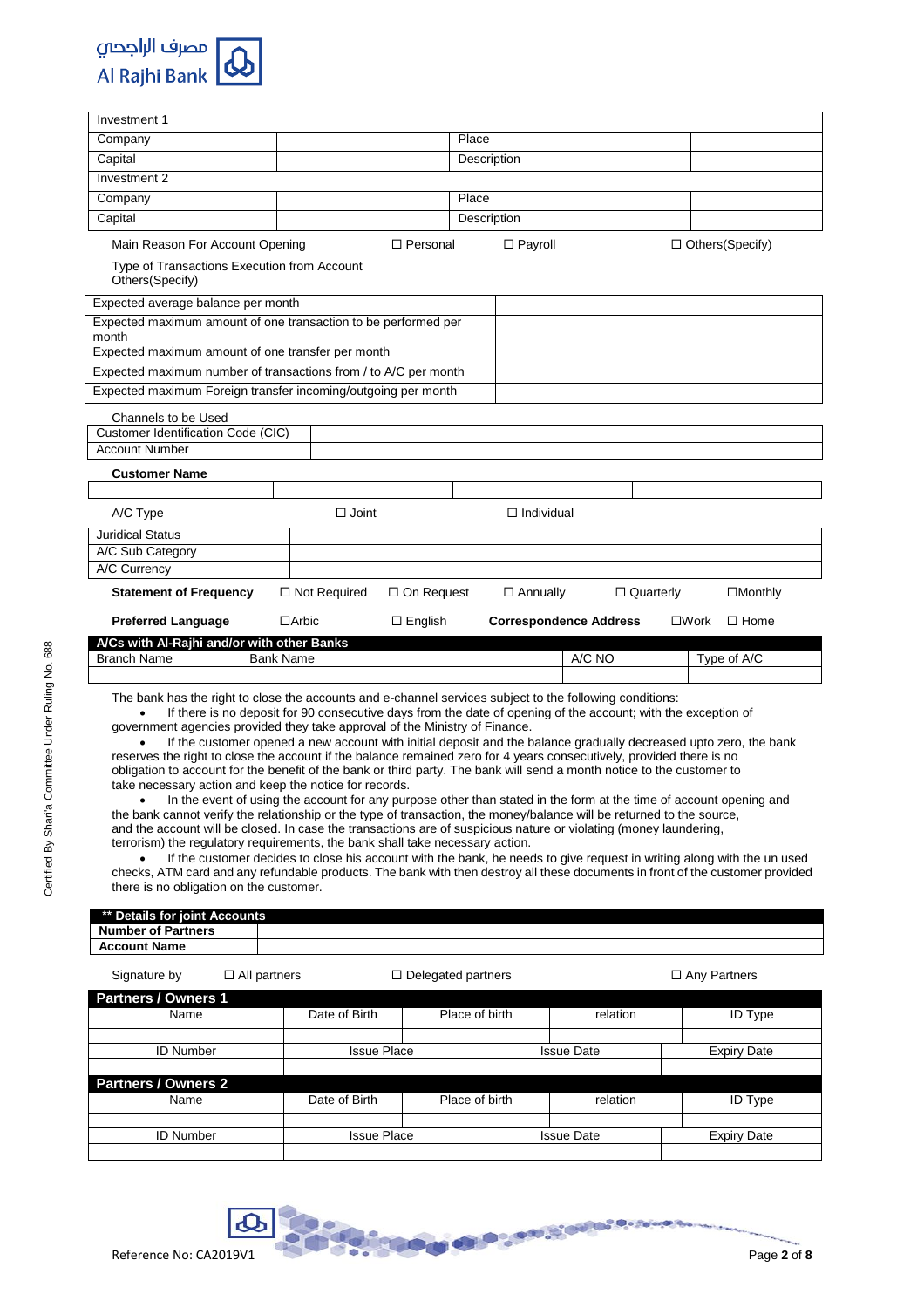

| Investment 1                                                                                                                                                                                                                                                                                                                                                                                                                                                                                                                                                                                                                                                                                                                                                                                                                                                                                                                                                                                                                                     |                                                                                                               |                           |                   |                  |                                                                                                                                                                                                                                                                                                                                                                   |  |  |  |  |
|--------------------------------------------------------------------------------------------------------------------------------------------------------------------------------------------------------------------------------------------------------------------------------------------------------------------------------------------------------------------------------------------------------------------------------------------------------------------------------------------------------------------------------------------------------------------------------------------------------------------------------------------------------------------------------------------------------------------------------------------------------------------------------------------------------------------------------------------------------------------------------------------------------------------------------------------------------------------------------------------------------------------------------------------------|---------------------------------------------------------------------------------------------------------------|---------------------------|-------------------|------------------|-------------------------------------------------------------------------------------------------------------------------------------------------------------------------------------------------------------------------------------------------------------------------------------------------------------------------------------------------------------------|--|--|--|--|
| Company                                                                                                                                                                                                                                                                                                                                                                                                                                                                                                                                                                                                                                                                                                                                                                                                                                                                                                                                                                                                                                          |                                                                                                               | Place                     |                   |                  |                                                                                                                                                                                                                                                                                                                                                                   |  |  |  |  |
| Capital                                                                                                                                                                                                                                                                                                                                                                                                                                                                                                                                                                                                                                                                                                                                                                                                                                                                                                                                                                                                                                          |                                                                                                               |                           | Description       |                  |                                                                                                                                                                                                                                                                                                                                                                   |  |  |  |  |
| Investment 2                                                                                                                                                                                                                                                                                                                                                                                                                                                                                                                                                                                                                                                                                                                                                                                                                                                                                                                                                                                                                                     |                                                                                                               |                           |                   |                  |                                                                                                                                                                                                                                                                                                                                                                   |  |  |  |  |
| Company                                                                                                                                                                                                                                                                                                                                                                                                                                                                                                                                                                                                                                                                                                                                                                                                                                                                                                                                                                                                                                          |                                                                                                               | Place                     |                   |                  |                                                                                                                                                                                                                                                                                                                                                                   |  |  |  |  |
| Capital                                                                                                                                                                                                                                                                                                                                                                                                                                                                                                                                                                                                                                                                                                                                                                                                                                                                                                                                                                                                                                          |                                                                                                               |                           | Description       |                  |                                                                                                                                                                                                                                                                                                                                                                   |  |  |  |  |
| Main Reason For Account Opening                                                                                                                                                                                                                                                                                                                                                                                                                                                                                                                                                                                                                                                                                                                                                                                                                                                                                                                                                                                                                  |                                                                                                               | $\Box$ Personal           | $\Box$ Payroll    |                  | □ Others(Specify)                                                                                                                                                                                                                                                                                                                                                 |  |  |  |  |
| Type of Transactions Execution from Account<br>Others(Specify)                                                                                                                                                                                                                                                                                                                                                                                                                                                                                                                                                                                                                                                                                                                                                                                                                                                                                                                                                                                   |                                                                                                               |                           |                   |                  |                                                                                                                                                                                                                                                                                                                                                                   |  |  |  |  |
| Expected average balance per month                                                                                                                                                                                                                                                                                                                                                                                                                                                                                                                                                                                                                                                                                                                                                                                                                                                                                                                                                                                                               |                                                                                                               |                           |                   |                  |                                                                                                                                                                                                                                                                                                                                                                   |  |  |  |  |
| Expected maximum amount of one transaction to be performed per<br>month                                                                                                                                                                                                                                                                                                                                                                                                                                                                                                                                                                                                                                                                                                                                                                                                                                                                                                                                                                          |                                                                                                               |                           |                   |                  |                                                                                                                                                                                                                                                                                                                                                                   |  |  |  |  |
| Expected maximum amount of one transfer per month                                                                                                                                                                                                                                                                                                                                                                                                                                                                                                                                                                                                                                                                                                                                                                                                                                                                                                                                                                                                |                                                                                                               |                           |                   |                  |                                                                                                                                                                                                                                                                                                                                                                   |  |  |  |  |
| Expected maximum number of transactions from / to A/C per month                                                                                                                                                                                                                                                                                                                                                                                                                                                                                                                                                                                                                                                                                                                                                                                                                                                                                                                                                                                  |                                                                                                               |                           |                   |                  |                                                                                                                                                                                                                                                                                                                                                                   |  |  |  |  |
| Expected maximum Foreign transfer incoming/outgoing per month                                                                                                                                                                                                                                                                                                                                                                                                                                                                                                                                                                                                                                                                                                                                                                                                                                                                                                                                                                                    |                                                                                                               |                           |                   |                  |                                                                                                                                                                                                                                                                                                                                                                   |  |  |  |  |
| Channels to be Used                                                                                                                                                                                                                                                                                                                                                                                                                                                                                                                                                                                                                                                                                                                                                                                                                                                                                                                                                                                                                              |                                                                                                               |                           |                   |                  |                                                                                                                                                                                                                                                                                                                                                                   |  |  |  |  |
| <b>Customer Identification Code (CIC)</b><br><b>Account Number</b>                                                                                                                                                                                                                                                                                                                                                                                                                                                                                                                                                                                                                                                                                                                                                                                                                                                                                                                                                                               |                                                                                                               |                           |                   |                  |                                                                                                                                                                                                                                                                                                                                                                   |  |  |  |  |
|                                                                                                                                                                                                                                                                                                                                                                                                                                                                                                                                                                                                                                                                                                                                                                                                                                                                                                                                                                                                                                                  |                                                                                                               |                           |                   |                  |                                                                                                                                                                                                                                                                                                                                                                   |  |  |  |  |
| <b>Customer Name</b>                                                                                                                                                                                                                                                                                                                                                                                                                                                                                                                                                                                                                                                                                                                                                                                                                                                                                                                                                                                                                             |                                                                                                               |                           |                   |                  |                                                                                                                                                                                                                                                                                                                                                                   |  |  |  |  |
|                                                                                                                                                                                                                                                                                                                                                                                                                                                                                                                                                                                                                                                                                                                                                                                                                                                                                                                                                                                                                                                  |                                                                                                               |                           |                   |                  |                                                                                                                                                                                                                                                                                                                                                                   |  |  |  |  |
| A/C Type                                                                                                                                                                                                                                                                                                                                                                                                                                                                                                                                                                                                                                                                                                                                                                                                                                                                                                                                                                                                                                         | $\Box$ Joint                                                                                                  |                           | $\Box$ Individual |                  |                                                                                                                                                                                                                                                                                                                                                                   |  |  |  |  |
| <b>Juridical Status</b><br>A/C Sub Category                                                                                                                                                                                                                                                                                                                                                                                                                                                                                                                                                                                                                                                                                                                                                                                                                                                                                                                                                                                                      |                                                                                                               |                           |                   |                  |                                                                                                                                                                                                                                                                                                                                                                   |  |  |  |  |
| A/C Currency                                                                                                                                                                                                                                                                                                                                                                                                                                                                                                                                                                                                                                                                                                                                                                                                                                                                                                                                                                                                                                     |                                                                                                               |                           |                   |                  |                                                                                                                                                                                                                                                                                                                                                                   |  |  |  |  |
| <b>Statement of Frequency</b>                                                                                                                                                                                                                                                                                                                                                                                                                                                                                                                                                                                                                                                                                                                                                                                                                                                                                                                                                                                                                    | $\Box$ Not Required                                                                                           | $\Box$ On Request         | $\Box$ Annually   | $\Box$ Quarterly | $\square$ Monthly                                                                                                                                                                                                                                                                                                                                                 |  |  |  |  |
|                                                                                                                                                                                                                                                                                                                                                                                                                                                                                                                                                                                                                                                                                                                                                                                                                                                                                                                                                                                                                                                  |                                                                                                               |                           |                   |                  |                                                                                                                                                                                                                                                                                                                                                                   |  |  |  |  |
| <b>Preferred Language</b><br>$\Box$ Arbic<br><b>Correspondence Address</b><br>$\Box$ English<br>$\square$ Work<br>$\Box$ Home                                                                                                                                                                                                                                                                                                                                                                                                                                                                                                                                                                                                                                                                                                                                                                                                                                                                                                                    |                                                                                                               |                           |                   |                  |                                                                                                                                                                                                                                                                                                                                                                   |  |  |  |  |
|                                                                                                                                                                                                                                                                                                                                                                                                                                                                                                                                                                                                                                                                                                                                                                                                                                                                                                                                                                                                                                                  |                                                                                                               |                           |                   |                  |                                                                                                                                                                                                                                                                                                                                                                   |  |  |  |  |
| A/Cs with Al-Rajhi and/or with other Banks                                                                                                                                                                                                                                                                                                                                                                                                                                                                                                                                                                                                                                                                                                                                                                                                                                                                                                                                                                                                       |                                                                                                               |                           |                   |                  |                                                                                                                                                                                                                                                                                                                                                                   |  |  |  |  |
| <b>Branch Name</b>                                                                                                                                                                                                                                                                                                                                                                                                                                                                                                                                                                                                                                                                                                                                                                                                                                                                                                                                                                                                                               | <b>Bank Name</b>                                                                                              |                           |                   | A/C NO           | Type of A/C                                                                                                                                                                                                                                                                                                                                                       |  |  |  |  |
|                                                                                                                                                                                                                                                                                                                                                                                                                                                                                                                                                                                                                                                                                                                                                                                                                                                                                                                                                                                                                                                  |                                                                                                               |                           |                   |                  |                                                                                                                                                                                                                                                                                                                                                                   |  |  |  |  |
| The bank has the right to close the accounts and e-channel services subject to the following conditions:<br>government agencies provided they take approval of the Ministry of Finance.<br>reserves the right to close the account if the balance remained zero for 4 years consecutively, provided there is no<br>obligation to account for the benefit of the bank or third party. The bank will send a month notice to the customer to<br>take necessary action and keep the notice for records.<br>the bank cannot verify the relationship or the type of transaction, the money/balance will be returned to the source,<br>and the account will be closed. In case the transactions are of suspicious nature or violating (money laundering,<br>terrorism) the regulatory requirements, the bank shall take necessary action.<br>checks, ATM card and any refundable products. The bank with then destroy all these documents in front of the customer provided<br>there is no obligation on the customer.<br>** Details for joint Accounts | If there is no deposit for 90 consecutive days from the date of opening of the account; with the exception of |                           |                   |                  | If the customer opened a new account with initial deposit and the balance gradually decreased upto zero, the bank<br>In the event of using the account for any purpose other than stated in the form at the time of account opening and<br>If the customer decides to close his account with the bank, he needs to give request in writing along with the un used |  |  |  |  |
| <b>Number of Partners</b><br><b>Account Name</b>                                                                                                                                                                                                                                                                                                                                                                                                                                                                                                                                                                                                                                                                                                                                                                                                                                                                                                                                                                                                 |                                                                                                               |                           |                   |                  |                                                                                                                                                                                                                                                                                                                                                                   |  |  |  |  |
| Signature by<br>$\Box$ All partners                                                                                                                                                                                                                                                                                                                                                                                                                                                                                                                                                                                                                                                                                                                                                                                                                                                                                                                                                                                                              |                                                                                                               | $\Box$ Delegated partners |                   |                  | □ Any Partners                                                                                                                                                                                                                                                                                                                                                    |  |  |  |  |
| <b>Partners / Owners 1</b>                                                                                                                                                                                                                                                                                                                                                                                                                                                                                                                                                                                                                                                                                                                                                                                                                                                                                                                                                                                                                       |                                                                                                               |                           |                   |                  |                                                                                                                                                                                                                                                                                                                                                                   |  |  |  |  |
| Name                                                                                                                                                                                                                                                                                                                                                                                                                                                                                                                                                                                                                                                                                                                                                                                                                                                                                                                                                                                                                                             | Date of Birth                                                                                                 | Place of birth            |                   | relation         | <b>ID Type</b>                                                                                                                                                                                                                                                                                                                                                    |  |  |  |  |
| <b>ID Number</b>                                                                                                                                                                                                                                                                                                                                                                                                                                                                                                                                                                                                                                                                                                                                                                                                                                                                                                                                                                                                                                 | <b>Issue Place</b>                                                                                            |                           | Issue Date        |                  | <b>Expiry Date</b>                                                                                                                                                                                                                                                                                                                                                |  |  |  |  |
|                                                                                                                                                                                                                                                                                                                                                                                                                                                                                                                                                                                                                                                                                                                                                                                                                                                                                                                                                                                                                                                  |                                                                                                               |                           |                   |                  |                                                                                                                                                                                                                                                                                                                                                                   |  |  |  |  |
| Partners / Owners 2<br>Name                                                                                                                                                                                                                                                                                                                                                                                                                                                                                                                                                                                                                                                                                                                                                                                                                                                                                                                                                                                                                      | Date of Birth                                                                                                 | Place of birth            |                   | relation         | <b>ID Type</b>                                                                                                                                                                                                                                                                                                                                                    |  |  |  |  |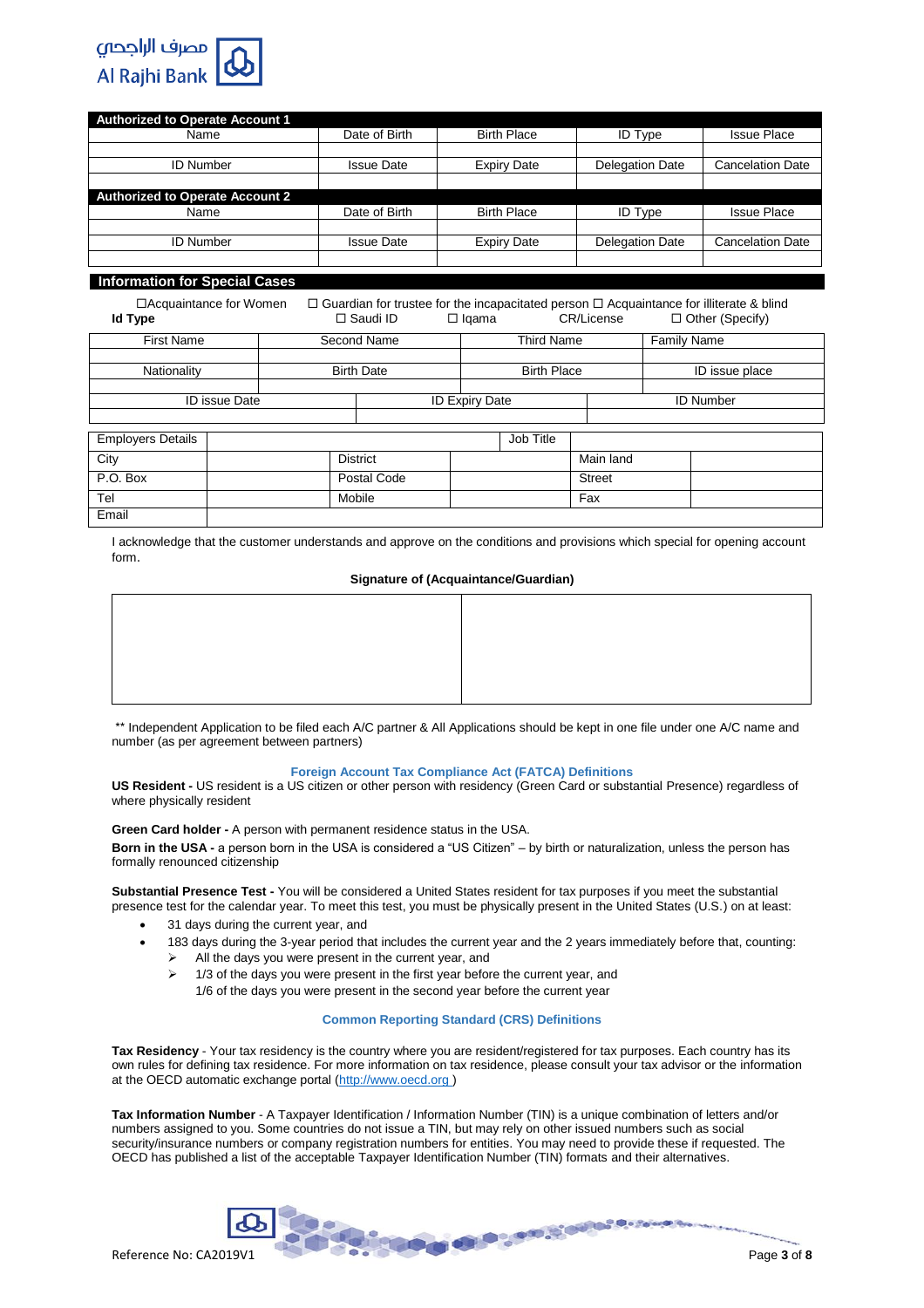

| <b>Authorized to Operate Account 1</b> |                   |                    |                        |                         |
|----------------------------------------|-------------------|--------------------|------------------------|-------------------------|
| Name                                   | Date of Birth     | <b>Birth Place</b> | <b>ID Type</b>         | <b>Issue Place</b>      |
|                                        |                   |                    |                        |                         |
| <b>ID Number</b>                       | <b>Issue Date</b> | <b>Expiry Date</b> | <b>Delegation Date</b> | <b>Cancelation Date</b> |
|                                        |                   |                    |                        |                         |
| <b>Authorized to Operate Account 2</b> |                   |                    |                        |                         |
| Name                                   | Date of Birth     | <b>Birth Place</b> | <b>ID Type</b>         | <b>Issue Place</b>      |
|                                        |                   |                    |                        |                         |
| <b>ID Number</b>                       | <b>Issue Date</b> | <b>Expiry Date</b> | <b>Delegation Date</b> | <b>Cancelation Date</b> |
|                                        |                   |                    |                        |                         |
|                                        |                   |                    |                        |                         |

## **Information for Special Cases**

 $\Box$ Acquaintance for Women  $\Box$  Guardian for trustee for the incapacitated person  $\Box$  Acquaintance for illiterate & blind  $\Box$  Saudi ID  $\Box$  Igama  $\Box$  CR/License  $\Box$  Other (Specify) □ Other (Specify)

| <b>First Name</b>        |  |        | Second Name       |                       | <b>Third Name</b>  |               | <b>Family Name</b> |
|--------------------------|--|--------|-------------------|-----------------------|--------------------|---------------|--------------------|
|                          |  |        |                   |                       |                    |               |                    |
| Nationality              |  |        | <b>Birth Date</b> |                       | <b>Birth Place</b> |               | ID issue place     |
|                          |  |        |                   |                       |                    |               |                    |
| <b>ID</b> issue Date     |  |        |                   | <b>ID Expiry Date</b> | <b>ID Number</b>   |               |                    |
|                          |  |        |                   |                       |                    |               |                    |
| <b>Employers Details</b> |  |        |                   |                       | Job Title          |               |                    |
|                          |  |        |                   |                       |                    |               |                    |
| City                     |  |        | <b>District</b>   |                       |                    |               | Main land          |
| P.O. Box                 |  |        | Postal Code       |                       |                    | <b>Street</b> |                    |
| Tel                      |  | Mobile |                   |                       |                    | Fax           |                    |
| Email                    |  |        |                   |                       |                    |               |                    |

I acknowledge that the customer understands and approve on the conditions and provisions which special for opening account form.

## **Signature of (Acquaintance/Guardian)**

\*\* Independent Application to be filed each A/C partner & All Applications should be kept in one file under one A/C name and number (as per agreement between partners)

# **Foreign Account Tax Compliance Act (FATCA) Definitions**

**US Resident -** US resident is a US citizen or other person with residency (Green Card or substantial Presence) regardless of where physically resident

**Green Card holder -** A person with permanent residence status in the USA.

**Born in the USA -** a person born in the USA is considered a "US Citizen" – by birth or naturalization, unless the person has formally renounced citizenship

**Substantial Presence Test -** You will be considered a United States resident for tax purposes if you meet the substantial presence test for the calendar year. To meet this test, you must be physically present in the United States (U.S.) on at least:

- 31 days during the current year, and
- 183 days during the 3-year period that includes the current year and the 2 years immediately before that, counting:
	- $\triangleright$  All the days you were present in the current year, and
	- $\geq$  1/3 of the days you were present in the first year before the current year, and
		- 1/6 of the days you were present in the second year before the current year

# **Common Reporting Standard (CRS) Definitions**

**Tax Residency** - Your tax residency is the country where you are resident/registered for tax purposes. Each country has its own rules for defining tax residence. For more information on tax residence, please consult your tax advisor or the information at the OECD automatic exchange portal (http://www.oecd.org )

**Tax Information Number** - A Taxpayer Identification / Information Number (TIN) is a unique combination of letters and/or numbers assigned to you. Some countries do not issue a TIN, but may rely on other issued numbers such as social security/insurance numbers or company registration numbers for entities. You may need to provide these if requested. The OECD has published a list of the acceptable [Taxpayer Identification Number \(TIN\) formats](http://www.oecd.org/tax/automatic-exchange/crs-implementation-and-assistance/tax-identification-numbers/) and their alternatives.

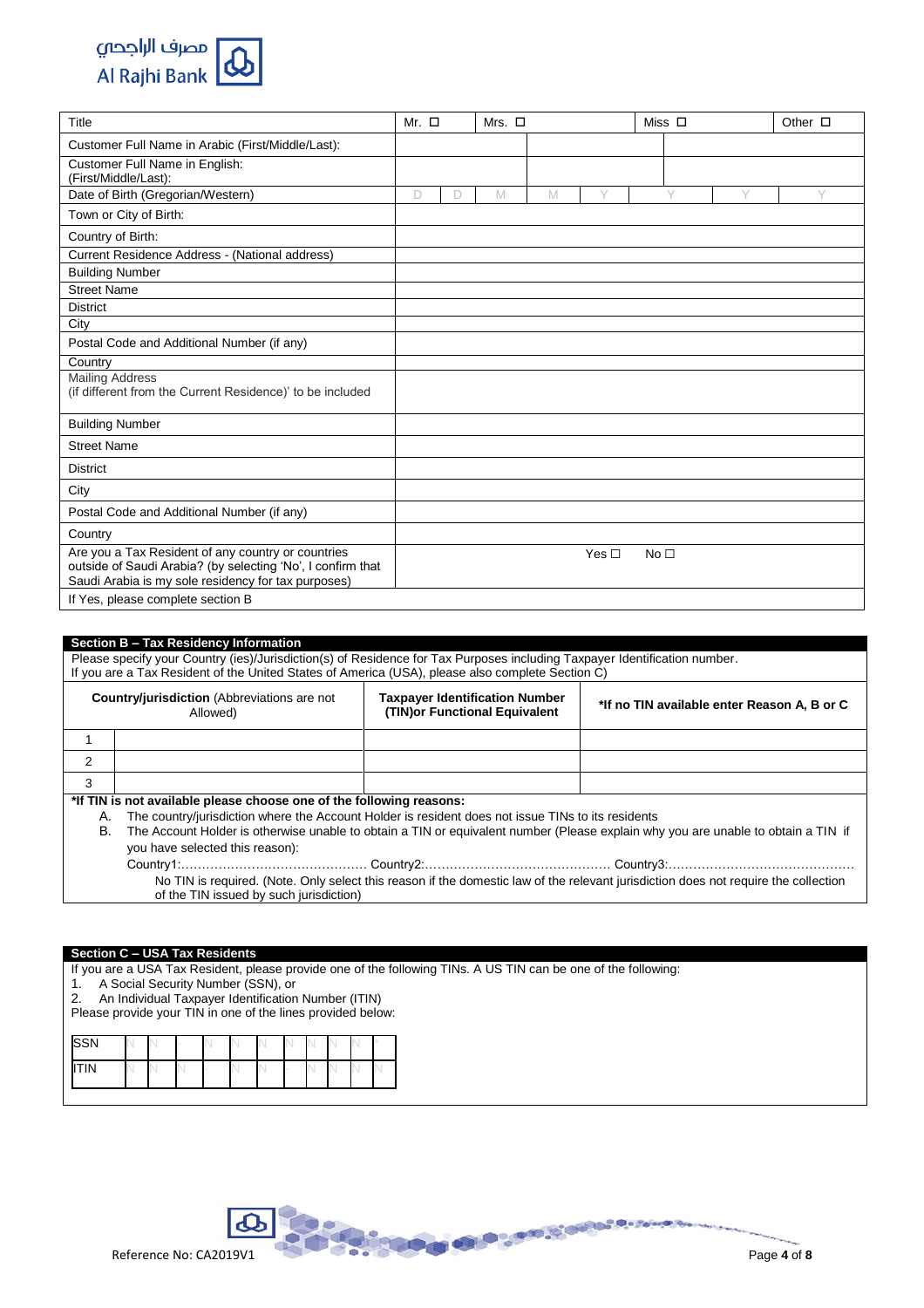

| Title                                                                                                                                                                    | Mr. $\square$ |        | Mrs. $\Box$ |   |            |                 | Miss $\Box$ |   | Other $\square$ |
|--------------------------------------------------------------------------------------------------------------------------------------------------------------------------|---------------|--------|-------------|---|------------|-----------------|-------------|---|-----------------|
| Customer Full Name in Arabic (First/Middle/Last):                                                                                                                        |               |        |             |   |            |                 |             |   |                 |
| Customer Full Name in English:<br>(First/Middle/Last):                                                                                                                   |               |        |             |   |            |                 |             |   |                 |
| Date of Birth (Gregorian/Western)                                                                                                                                        | D             | $\Box$ | M           | M | Y          |                 | Y           | Y | Y               |
| Town or City of Birth:                                                                                                                                                   |               |        |             |   |            |                 |             |   |                 |
| Country of Birth:                                                                                                                                                        |               |        |             |   |            |                 |             |   |                 |
| Current Residence Address - (National address)                                                                                                                           |               |        |             |   |            |                 |             |   |                 |
| <b>Building Number</b>                                                                                                                                                   |               |        |             |   |            |                 |             |   |                 |
| <b>Street Name</b>                                                                                                                                                       |               |        |             |   |            |                 |             |   |                 |
| <b>District</b>                                                                                                                                                          |               |        |             |   |            |                 |             |   |                 |
| City                                                                                                                                                                     |               |        |             |   |            |                 |             |   |                 |
| Postal Code and Additional Number (if any)                                                                                                                               |               |        |             |   |            |                 |             |   |                 |
| Country                                                                                                                                                                  |               |        |             |   |            |                 |             |   |                 |
| <b>Mailing Address</b><br>(if different from the Current Residence)' to be included                                                                                      |               |        |             |   |            |                 |             |   |                 |
| <b>Building Number</b>                                                                                                                                                   |               |        |             |   |            |                 |             |   |                 |
| <b>Street Name</b>                                                                                                                                                       |               |        |             |   |            |                 |             |   |                 |
| <b>District</b>                                                                                                                                                          |               |        |             |   |            |                 |             |   |                 |
| City                                                                                                                                                                     |               |        |             |   |            |                 |             |   |                 |
| Postal Code and Additional Number (if any)                                                                                                                               |               |        |             |   |            |                 |             |   |                 |
| Country                                                                                                                                                                  |               |        |             |   |            |                 |             |   |                 |
| Are you a Tax Resident of any country or countries<br>outside of Saudi Arabia? (by selecting 'No', I confirm that<br>Saudi Arabia is my sole residency for tax purposes) |               |        |             |   | Yes $\Box$ | No <sub>1</sub> |             |   |                 |
| If Yes, please complete section B                                                                                                                                        |               |        |             |   |            |                 |             |   |                 |

|    | Section B - Tax Residency Information                                                                                                                                                                                         |                                                                         |                                                                                                                                     |  |  |  |  |  |  |  |  |
|----|-------------------------------------------------------------------------------------------------------------------------------------------------------------------------------------------------------------------------------|-------------------------------------------------------------------------|-------------------------------------------------------------------------------------------------------------------------------------|--|--|--|--|--|--|--|--|
|    | Please specify your Country (ies)/Jurisdiction(s) of Residence for Tax Purposes including Taxpayer Identification number.<br>If you are a Tax Resident of the United States of America (USA), please also complete Section C) |                                                                         |                                                                                                                                     |  |  |  |  |  |  |  |  |
|    |                                                                                                                                                                                                                               |                                                                         |                                                                                                                                     |  |  |  |  |  |  |  |  |
|    | <b>Country/jurisdiction</b> (Abbreviations are not<br>Allowed)                                                                                                                                                                | <b>Taxpayer Identification Number</b><br>(TIN) or Functional Equivalent | *If no TIN available enter Reason A, B or C                                                                                         |  |  |  |  |  |  |  |  |
|    |                                                                                                                                                                                                                               |                                                                         |                                                                                                                                     |  |  |  |  |  |  |  |  |
| 2  |                                                                                                                                                                                                                               |                                                                         |                                                                                                                                     |  |  |  |  |  |  |  |  |
| 3  |                                                                                                                                                                                                                               |                                                                         |                                                                                                                                     |  |  |  |  |  |  |  |  |
|    | *If TIN is not available please choose one of the following reasons:                                                                                                                                                          |                                                                         |                                                                                                                                     |  |  |  |  |  |  |  |  |
| А. | The country/jurisdiction where the Account Holder is resident does not issue TINs to its residents                                                                                                                            |                                                                         |                                                                                                                                     |  |  |  |  |  |  |  |  |
| В. |                                                                                                                                                                                                                               |                                                                         | The Account Holder is otherwise unable to obtain a TIN or equivalent number (Please explain why you are unable to obtain a TIN if   |  |  |  |  |  |  |  |  |
|    | you have selected this reason):                                                                                                                                                                                               |                                                                         |                                                                                                                                     |  |  |  |  |  |  |  |  |
|    |                                                                                                                                                                                                                               |                                                                         |                                                                                                                                     |  |  |  |  |  |  |  |  |
|    |                                                                                                                                                                                                                               |                                                                         | No TIN is required. (Note. Only select this reason if the domestic law of the relevant jurisdiction does not require the collection |  |  |  |  |  |  |  |  |
|    | of the TIN issued by such jurisdiction)                                                                                                                                                                                       |                                                                         |                                                                                                                                     |  |  |  |  |  |  |  |  |
|    |                                                                                                                                                                                                                               |                                                                         |                                                                                                                                     |  |  |  |  |  |  |  |  |

# **Section C – USA Tax Residents**

If you are a USA Tax Resident, please provide one of the following TINs. A US TIN can be one of the following:

1. A Social Security Number (SSN), or

2. An Individual Taxpayer Identification Number (ITIN)

Please provide your TIN in one of the lines provided below:

| <b>SSN</b> |  |  |  |  |  |  |
|------------|--|--|--|--|--|--|
| 177181<br> |  |  |  |  |  |  |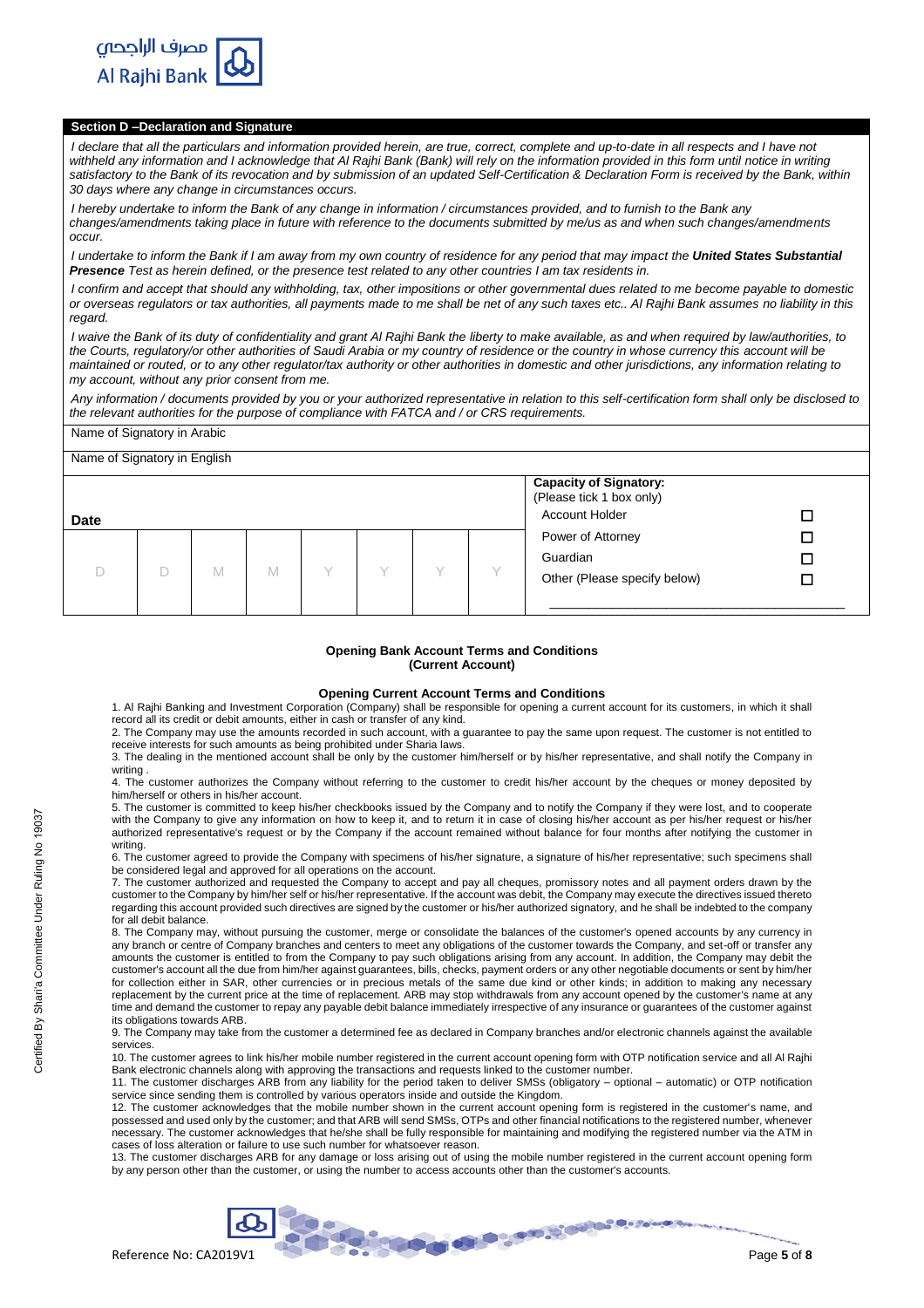

# **Section D –Declaration and Signature**

*I declare that all the particulars and information provided herein, are true, correct, complete and up-to-date in all respects and I have not* withheld any information and I acknowledge that Al Rajhi Bank (Bank) will rely on the information provided in this form until notice in writing *satisfactory to the Bank of its revocation and by submission of an updated Self-Certification & Declaration Form is received by the Bank, within 30 days where any change in circumstances occurs.*

*I hereby undertake to inform the Bank of any change in information / circumstances provided, and to furnish to the Bank any changes/amendments taking place in future with reference to the documents submitted by me/us as and when such changes/amendments occur.*

*I undertake to inform the Bank if I am away from my own country of residence for any period that may impact the United States Substantial Presence Test as herein defined, or the presence test related to any other countries I am tax residents in.*

*I confirm and accept that should any withholding, tax, other impositions or other governmental dues related to me become payable to domestic or overseas regulators or tax authorities, all payments made to me shall be net of any such taxes etc.. Al Rajhi Bank assumes no liability in this regard.*

*I waive the Bank of its duty of confidentiality and grant Al Rajhi Bank the liberty to make available, as and when required by law/authorities, to the Courts, regulatory/or other authorities of Saudi Arabia or my country of residence or the country in whose currency this account will be maintained or routed, or to any other regulator/tax authority or other authorities in domestic and other jurisdictions, any information relating to my account, without any prior consent from me.*

*Any information / documents provided by you or your authorized representative in relation to this self-certification form shall only be disclosed to the relevant authorities for the purpose of compliance with FATCA and / or CRS requirements.*

# Name of Signatory in Arabic

|             |   |   |  |  | <b>Capacity of Signatory:</b><br>(Please tick 1 box only) |   |
|-------------|---|---|--|--|-----------------------------------------------------------|---|
| <b>Date</b> |   |   |  |  | <b>Account Holder</b>                                     |   |
|             |   |   |  |  | Power of Attorney                                         | □ |
|             |   |   |  |  | Guardian                                                  |   |
|             | M | M |  |  | Other (Please specify below)                              |   |

## **Opening Bank Account Terms and Conditions (Current Account)**

## **Opening Current Account Terms and Conditions**

1. Al Rajhi Banking and Investment Corporation (Company) shall be responsible for opening a current account for its customers, in which it shall record all its credit or debit amounts, either in cash or transfer of any kind.

2. The Company may use the amounts recorded in such account, with a guarantee to pay the same upon request. The customer is not entitled to receive interests for such amounts as being prohibited under Sharia laws. 3. The dealing in the mentioned account shall be only by the customer him/herself or by his/her representative, and shall notify the Company in

writing

4. The customer authorizes the Company without referring to the customer to credit his/her account by the cheques or money deposited by him/herself or others in his/her account.

5. The customer is committed to keep his/her checkbooks issued by the Company and to notify the Company if they were lost, and to cooperate with the Company to give any information on how to keep it, and to return it in case of closing his/her account as per his/her request or his/her authorized representative's request or by the Company if the account remained without balance for four months after notifying the customer in writing.

6. The customer agreed to provide the Company with specimens of his/her signature, a signature of his/her representative; such specimens shall be considered legal and approved for all operations on the account.

7. The customer authorized and requested the Company to accept and pay all cheques, promissory notes and all payment orders drawn by the customer to the Company by him/her self or his/her representative. If the account was debit, the Company may execute the directives issued thereto regarding this account provided such directives are signed by the customer or his/her authorized signatory, and he shall be indebted to the company for all debit balance.

8. The Company may, without pursuing the customer, merge or consolidate the balances of the customer's opened accounts by any currency in any branch or centre of Company branches and centers to meet any obligations of the customer towards the Company, and set-off or transfer any amounts the customer is entitled to from the Company to pay such obligations arising from any account. In addition, the Company may debit the customer's account all the due from him/her against guarantees, bills, checks, payment orders or any other negotiable documents or sent by him/her for collection either in SAR, other currencies or in precious metals of the same due kind or other kinds; in addition to making any necessary replacement by the current price at the time of replacement. ARB may stop withdrawals from any account opened by the customer's name at any time and demand the customer to repay any payable debit balance immediately irrespective of any insurance or guarantees of the customer against its obligations towards ARB.

9. The Company may take from the customer a determined fee as declared in Company branches and/or electronic channels against the available services.

10. The customer agrees to link his/her mobile number registered in the current account opening form with OTP notification service and all Al Rajhi Bank electronic channels along with approving the transactions and requests linked to the customer number.

11. The customer discharges ARB from any liability for the period taken to deliver SMSs (obligatory – optional – automatic) or OTP notification service since sending them is controlled by various operators inside and outside the Kingdom.

12. The customer acknowledges that the mobile number shown in the current account opening form is registered in the customer's name, and possessed and used only by the customer; and that ARB will send SMSs, OTPs and other financial notifications to the registered number, whenever necessary. The customer acknowledges that he/she shall be fully responsible for maintaining and modifying the registered number via the ATM in cases of loss alteration or failure to use such number for whatsoever reason.

13. The customer discharges ARB for any damage or loss arising out of using the mobile number registered in the current account opening form by any person other than the customer, or using the number to access accounts other than the customer's accounts.

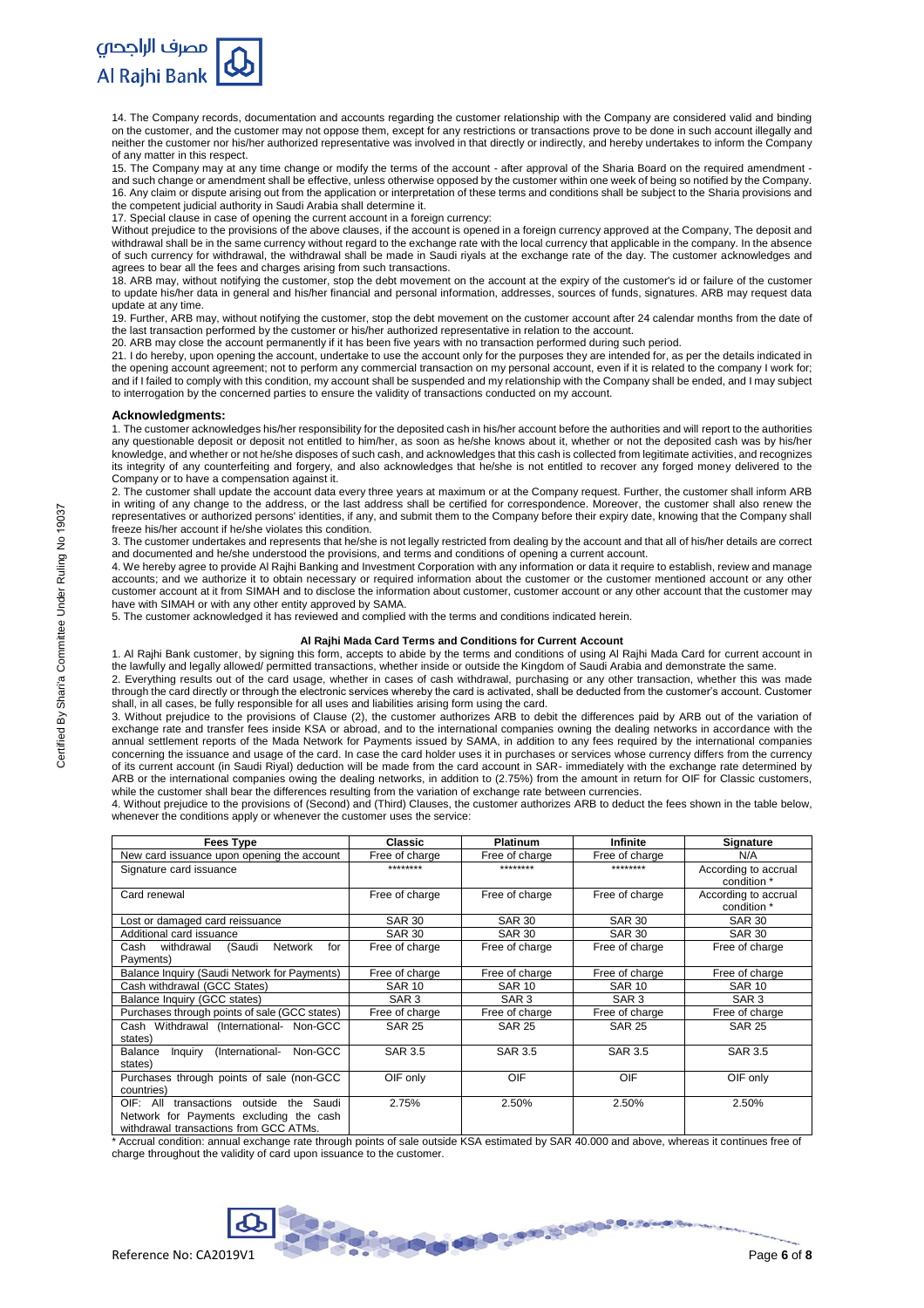

14. The Company records, documentation and accounts regarding the customer relationship with the Company are considered valid and binding on the customer, and the customer may not oppose them, except for any restrictions or transactions prove to be done in such account illegally and neither the customer nor his/her authorized representative was involved in that directly or indirectly, and hereby undertakes to inform the Company of any matter in this respect.

15. The Company may at any time change or modify the terms of the account - after approval of the Sharia Board on the required amendment and such change or amendment shall be effective, unless otherwise opposed by the customer within one week of being so notified by the Company. 16. Any claim or dispute arising out from the application or interpretation of these terms and conditions shall be subject to the Sharia provisions and the competent judicial authority in Saudi Arabia shall determine it.

17. Special clause in case of opening the current account in a foreign currency:

Without prejudice to the provisions of the above clauses, if the account is opened in a foreign currency approved at the Company, The deposit and Without prejudice to the provisions of the above clauses, if the account is withdrawal shall be in the same currency without regard to the exchange rate with the local currency that applicable in the company. In the absence of such currency for withdrawal, the withdrawal shall be made in Saudi riyals at the exchange rate of the day. The customer acknowledges and agrees to bear all the fees and charges arising from such transactions.

18. ARB may, without notifying the customer, stop the debt movement on the account at the expiry of the customer's id or failure of the customer to update his/her data in general and his/her financial and personal information, addresses, sources of funds, signatures. ARB may request data update at any time.

19. Further, ARB may, without notifying the customer, stop the debt movement on the customer account after 24 calendar months from the date of the last transaction performed by the customer or his/her authorized representative in relation to the account.

20. ARB may close the account permanently if it has been five years with no transaction performed during such period.

21. I do hereby, upon opening the account, undertake to use the account only for the purposes they are intended for, as per the details indicated in the opening account agreement; not to perform any commercial transaction on my personal account, even if it is related to the company I work for; and if I failed to comply with this condition, my account shall be suspended and my relationship with the Company shall be ended, and I may subject to interrogation by the concerned parties to ensure the validity of transactions conducted on my account.

### **Acknowledgments:**

1. The customer acknowledges his/her responsibility for the deposited cash in his/her account before the authorities and will report to the authorities any questionable deposit or deposit not entitled to him/her, as soon as he/she knows about it, whether or not the deposited cash was by his/her knowledge, and whether or not he/she disposes of such cash, and acknowledges that this cash is collected from legitimate activities, and recognizes its integrity of any counterfeiting and forgery, and also acknowledges that he/she is not entitled to recover any forged money delivered to the Company or to have a compensation against it.

2. The customer shall update the account data every three years at maximum or at the Company request. Further, the customer shall inform ARB in writing of any change to the address, or the last address shall be certified for correspondence. Moreover, the customer shall also renew the representatives or authorized persons' identities, if any, and submit them to the Company before their expiry date, knowing that the Company shall freeze his/her account if he/she violates this condition.

3. The customer undertakes and represents that he/she is not legally restricted from dealing by the account and that all of his/her details are correct and documented and he/she understood the provisions, and terms and conditions of opening a current account.

4. We hereby agree to provide Al Rajhi Banking and Investment Corporation with any information or data it require to establish, review and manage accounts; and we authorize it to obtain necessary or required information about the customer or the customer mentioned account or any other customer account at it from SIMAH and to disclose the information about customer, customer account or any other account that the customer may have with SIMAH or with any other entity approved by SAMA.

5. The customer acknowledged it has reviewed and complied with the terms and conditions indicated herein.

#### **Al Rajhi Mada Card Terms and Conditions for Current Account**

1. Al Rajhi Bank customer, by signing this form, accepts to abide by the terms and conditions of using Al Rajhi Mada Card for current account in the lawfully and legally allowed/ permitted transactions, whether inside or outside the Kingdom of Saudi Arabia and demonstrate the same.

2. Everything results out of the card usage, whether in cases of cash withdrawal, purchasing or any other transaction, whether this was made through the card directly or through the electronic services whereby the card is activated, shall be deducted from the customer's account. Customer shall, in all cases, be fully responsible for all uses and liabilities arising form using the card.

3. Without prejudice to the provisions of Clause (2), the customer authorizes ARB to debit the differences paid by ARB out of the variation of exchange rate and transfer fees inside KSA or abroad, and to the international companies owning the dealing networks in accordance with the annual settlement reports of the Mada Network for Payments issued by SAMA, in addition to any fees required by the international companies concerning the issuance and usage of the card. In case the card holder uses it in purchases or services whose currency differs from the currency of its current account (in Saudi Riyal) deduction will be made from the card account in SAR- immediately with the exchange rate determined by ARB or the international companies owing the dealing networks, in addition to (2.75%) from the amount in return for OIF for Classic customers, while the customer shall bear the differences resulting from the variation of exchange rate between currencies.

4. Without prejudice to the provisions of (Second) and (Third) Clauses, the customer authorizes ARB to deduct the fees shown in the table below, whenever the conditions apply or whenever the customer uses the service:

| <b>Fees Type</b>                                                                                                                         | <b>Classic</b>   | <b>Platinum</b>  | Infinite         | <b>Signature</b>                    |
|------------------------------------------------------------------------------------------------------------------------------------------|------------------|------------------|------------------|-------------------------------------|
| New card issuance upon opening the account                                                                                               | Free of charge   | Free of charge   | Free of charge   | N/A                                 |
| Signature card issuance                                                                                                                  | ********         | ********         | ********         | According to accrual<br>condition * |
| Card renewal                                                                                                                             | Free of charge   | Free of charge   | Free of charge   | According to accrual<br>condition * |
| Lost or damaged card reissuance                                                                                                          | <b>SAR 30</b>    | <b>SAR 30</b>    | <b>SAR 30</b>    | <b>SAR 30</b>                       |
| Additional card issuance                                                                                                                 | <b>SAR 30</b>    | <b>SAR 30</b>    | <b>SAR 30</b>    | <b>SAR 30</b>                       |
| withdrawal<br>(Saudi<br><b>Network</b><br>for<br>Cash<br>Payments)                                                                       | Free of charge   | Free of charge   | Free of charge   | Free of charge                      |
| Balance Inquiry (Saudi Network for Payments)                                                                                             | Free of charge   | Free of charge   | Free of charge   | Free of charge                      |
| Cash withdrawal (GCC States)                                                                                                             | <b>SAR 10</b>    | <b>SAR 10</b>    | <b>SAR 10</b>    | <b>SAR 10</b>                       |
| Balance Inquiry (GCC states)                                                                                                             | SAR <sub>3</sub> | SAR <sub>3</sub> | SAR <sub>3</sub> | SAR <sub>3</sub>                    |
| Purchases through points of sale (GCC states)                                                                                            | Free of charge   | Free of charge   | Free of charge   | Free of charge                      |
| Cash Withdrawal (International- Non-GCC<br>states)                                                                                       | <b>SAR 25</b>    | <b>SAR 25</b>    | <b>SAR 25</b>    | <b>SAR 25</b>                       |
| (International-<br>Non-GCC<br>Balance<br>Inquiry<br>states)                                                                              | <b>SAR 3.5</b>   | <b>SAR 3.5</b>   | <b>SAR 3.5</b>   | <b>SAR 3.5</b>                      |
| Purchases through points of sale (non-GCC<br>countries)                                                                                  | OIF only         | OIF              | OIF              | OIF only                            |
| transactions<br>Saudi<br>OIF: All<br>outside<br>the<br>Network for Payments excluding the cash<br>withdrawal transactions from GCC ATMs. | 2.75%            | 2.50%            | 2.50%            | 2.50%                               |

\* Accrual condition: annual exchange rate through points of sale outside KSA estimated by SAR 40.000 and above, whereas it continues free of charge throughout the validity of card upon issuance to the customer.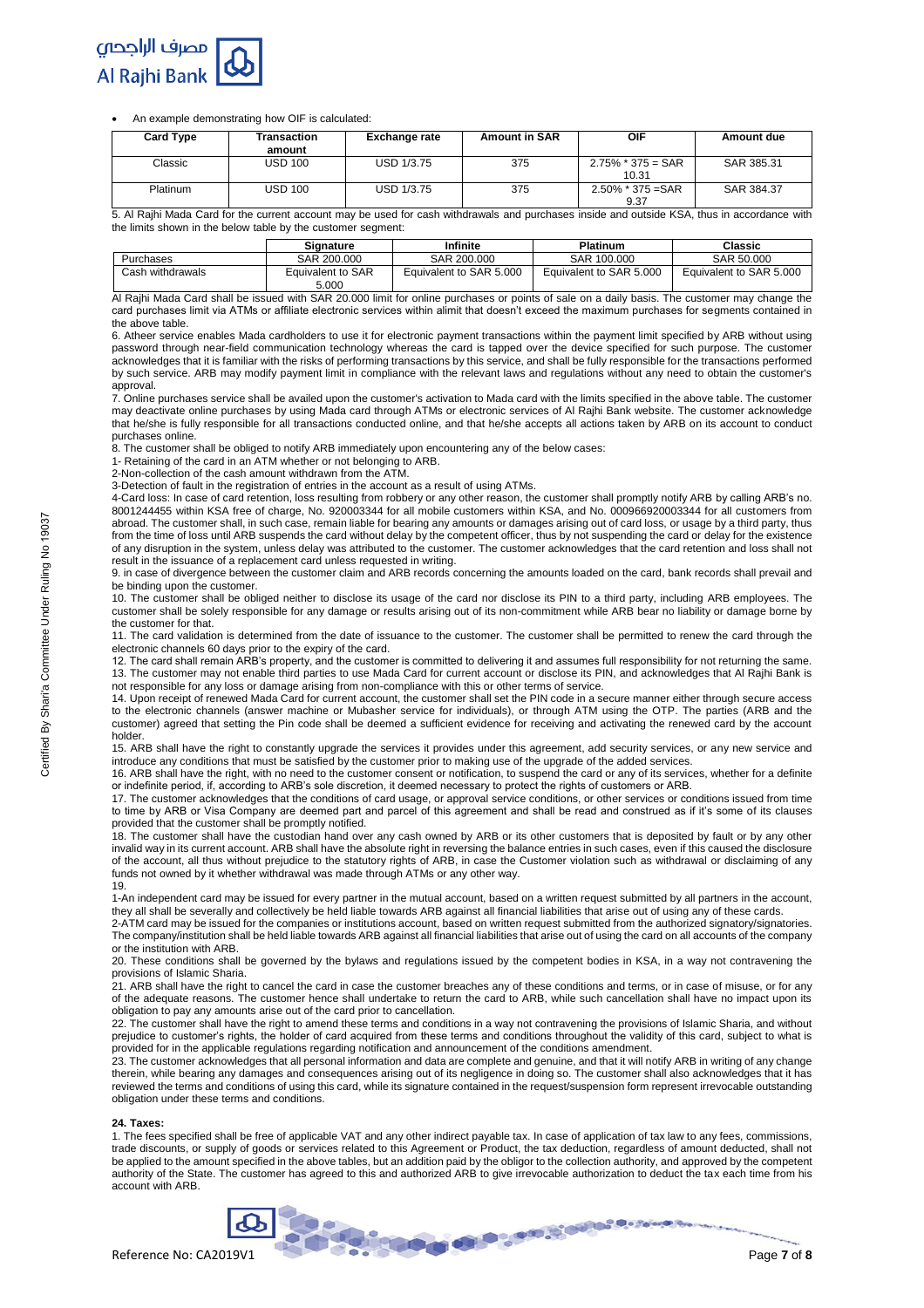

An example demonstrating how OIF is calculated:

| <b>Card Type</b> | Transaction<br>amount | <b>Exchange rate</b> | <b>Amount in SAR</b> | OIF                           | Amount due |
|------------------|-----------------------|----------------------|----------------------|-------------------------------|------------|
| Classic          | <b>USD 100</b>        | USD 1/3.75           | 375                  | $2.75\%$ * 375 = SAR<br>10.31 | SAR 385.31 |
| Platinum         | <b>USD 100</b>        | USD 1/3.75           | 375                  | $2.50\%$ * 375 = SAR<br>9.37  | SAR 384.37 |

5. Al Rajhi Mada Card for the current account may be used for cash withdrawals and purchases inside and outside KSA, thus in accordance with the limits shown in the below table by the customer segment:

|                  | Signature         | Infinite                | <b>Platinum</b>         | Classic                 |
|------------------|-------------------|-------------------------|-------------------------|-------------------------|
| Purchases        | SAR 200,000       | SAR 200,000             | SAR 100,000             | SAR 50,000              |
| Cash withdrawals | Equivalent to SAR | Equivalent to SAR 5.000 | Equivalent to SAR 5,000 | Equivalent to SAR 5,000 |
|                  | 5.000             |                         |                         |                         |

Al Rajhi Mada Card shall be issued with SAR 20.000 limit for online purchases or points of sale on a daily basis. The customer may change the card purchases limit via ATMs or affiliate electronic services within alimit that doesn't exceed the maximum purchases for segments contained in the above table.

6. Atheer service enables Mada cardholders to use it for electronic payment transactions within the payment limit specified by ARB without using password through near-field communication technology whereas the card is tapped over the device specified for such purpose. The customer acknowledges that it is familiar with the risks of performing transactions by this service, and shall be fully responsible for the transactions performed by such service. ARB may modify payment limit in compliance with the relevant laws and regulations without any need to obtain the customer's approval.

7. Online purchases service shall be availed upon the customer's activation to Mada card with the limits specified in the above table. The customer may deactivate online purchases by using Mada card through ATMs or electronic services of Al Rajhi Bank website. The customer acknowledge that he/she is fully responsible for all transactions conducted online, and that he/she accepts all actions taken by ARB on its account to conduct purchases online.

8. The customer shall be obliged to notify ARB immediately upon encountering any of the below cases:

1- Retaining of the card in an ATM whether or not belonging to ARB.

2-Non-collection of the cash amount withdrawn from the ATM.

3-Detection of fault in the registration of entries in the account as a result of using ATMs.

4-Card loss: In case of card retention, loss resulting from robbery or any other reason, the customer shall promptly notify ARB by calling ARB's no. 8001244455 within KSA free of charge, No. 920003344 for all mobile customers within KSA, and No. 000966920003344 for all customers from abroad. The customer shall, in such case, remain liable for bearing any amounts or damages arising out of card loss, or usage by a third party, thus from the time of loss until ARB suspends the card without delay by the competent officer, thus by not suspending the card or delay for the existence of any disruption in the system, unless delay was attributed to the customer. The customer acknowledges that the card retention and loss shall not result in the issuance of a replacement card unless requested in writing.

9. in case of divergence between the customer claim and ARB records concerning the amounts loaded on the card, bank records shall prevail and be binding upon the customer.

10. The customer shall be obliged neither to disclose its usage of the card nor disclose its PIN to a third party, including ARB employees. The customer shall be solely responsible for any damage or results arising out of its non-commitment while ARB bear no liability or damage borne by the customer for that.

11. The card validation is determined from the date of issuance to the customer. The customer shall be permitted to renew the card through the electronic channels 60 days prior to the expiry of the card.

12. The card shall remain ARB's property, and the customer is committed to delivering it and assumes full responsibility for not returning the same. 13. The customer may not enable third parties to use Mada Card for current account or disclose its PIN, and acknowledges that Al Rajhi Bank is not responsible for any loss or damage arising from non-compliance with this or other terms of service.

14. Upon receipt of renewed Mada Card for current account, the customer shall set the PIN code in a secure manner either through secure access to the electronic channels (answer machine or Mubasher service for individuals), or through ATM using the OTP. The parties (ARB and the customer) agreed that setting the Pin code shall be deemed a sufficient evidence for receiving and activating the renewed card by the account holder.

15. ARB shall have the right to constantly upgrade the services it provides under this agreement, add security services, or any new service and introduce any conditions that must be satisfied by the customer prior to making use of the upgrade of the added services.

16. ARB shall have the right, with no need to the customer consent or notification, to suspend the card or any of its services, whether for a definite or indefinite period, if, according to ARB's sole discretion, it deemed necessary to protect the rights of customers or ARB.

17. The customer acknowledges that the conditions of card usage, or approval service conditions, or other services or conditions issued from time to time by ARB or Visa Company are deemed part and parcel of this agreement and shall be read and construed as if it's some of its clauses provided that the customer shall be promptly notified.

18. The customer shall have the custodian hand over any cash owned by ARB or its other customers that is deposited by fault or by any other invalid way in its current account. ARB shall have the absolute right in reversing the balance entries in such cases, even if this caused the disclosure of the account, all thus without prejudice to the statutory rights of ARB, in case the Customer violation such as withdrawal or disclaiming of any funds not owned by it whether withdrawal was made through ATMs or any other way. 19.

1-An independent card may be issued for every partner in the mutual account, based on a written request submitted by all partners in the account, they all shall be severally and collectively be held liable towards ARB against all financial liabilities that arise out of using any of these cards.

2-ATM card may be issued for the companies or institutions account, based on written request submitted from the authorized signatory/signatories. The company/institution shall be held liable towards ARB against all financial liabilities that arise out of using the card on all accounts of the company or the institution with ARB.

20. These conditions shall be governed by the bylaws and regulations issued by the competent bodies in KSA, in a way not contravening the provisions of Islamic Sharia.

21. ARB shall have the right to cancel the card in case the customer breaches any of these conditions and terms, or in case of misuse, or for any of the adequate reasons. The customer hence shall undertake to return the card to ARB, while such cancellation shall have no impact upon its obligation to pay any amounts arise out of the card prior to cancellation.

22. The customer shall have the right to amend these terms and conditions in a way not contravening the provisions of Islamic Sharia, and without prejudice to customer's rights, the holder of card acquired from these terms and conditions throughout the validity of this card, subject to what is provided for in the applicable regulations regarding notification and announcement of the conditions amendment.

23. The customer acknowledges that all personal information and data are complete and genuine, and that it will notify ARB in writing of any change therein, while bearing any damages and consequences arising out of its negligence in doing so. The customer shall also acknowledges that it has reviewed the terms and conditions of using this card, while its signature contained in the request/suspension form represent irrevocable outstanding obligation under these terms and conditions.

#### **24. Taxes:**

1. The fees specified shall be free of applicable VAT and any other indirect payable tax. In case of application of tax law to any fees, commissions, trade discounts, or supply of goods or services related to this Agreement or Product, the tax deduction, regardless of amount deducted, shall not be applied to the amount specified in the above tables, but an addition paid by the obligor to the collection authority, and approved by the competent authority of the State. The customer has agreed to this and authorized ARB to give irrevocable authorization to deduct the tax each time from his account with ARB.